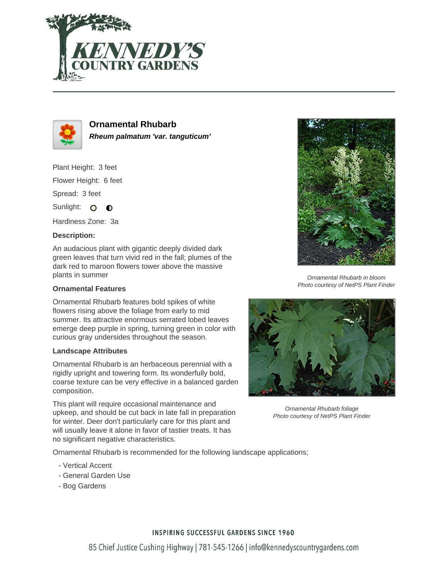



**Ornamental Rhubarb Rheum palmatum 'var. tanguticum'**

Plant Height: 3 feet

Flower Height: 6 feet

Spread: 3 feet

Sunlight: O  $\bullet$ 

Hardiness Zone: 3a

### **Description:**

An audacious plant with gigantic deeply divided dark green leaves that turn vivid red in the fall; plumes of the dark red to maroon flowers tower above the massive plants in summer

### **Ornamental Features**

Ornamental Rhubarb features bold spikes of white flowers rising above the foliage from early to mid summer. Its attractive enormous serrated lobed leaves emerge deep purple in spring, turning green in color with curious gray undersides throughout the season.

### **Landscape Attributes**

Ornamental Rhubarb is an herbaceous perennial with a rigidly upright and towering form. Its wonderfully bold, coarse texture can be very effective in a balanced garden composition.

This plant will require occasional maintenance and upkeep, and should be cut back in late fall in preparation for winter. Deer don't particularly care for this plant and will usually leave it alone in favor of tastier treats. It has no significant negative characteristics.

Ornamental Rhubarb is recommended for the following landscape applications;

- Vertical Accent
- General Garden Use
- Bog Gardens



Ornamental Rhubarb in bloom Photo courtesy of NetPS Plant Finder



Ornamental Rhubarb foliage Photo courtesy of NetPS Plant Finder

# **INSPIRING SUCCESSFUL GARDENS SINCE 1960**